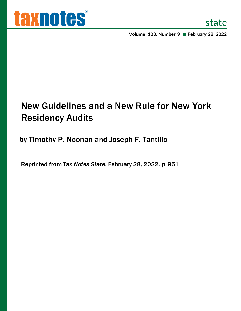

**Volume 103, Number 9 February 28, 2022**

# New Guidelines and a New Rule for New York Residency Audits

by Timothy P. Noonan and Joseph F. Tantillo

Reprinted from *Tax Notes State*, February 28, 2022, p.951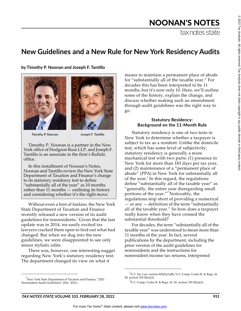$^{\circ}$ 

# NOONAN'S NOTES

tax notes state

### **New Guidelines and a New Rule for New York Residency Audits**

**by Timothy P. Noonan and Joseph F. Tantillo**





Timothy P. Noonan

Joseph F. Tantillo

Timothy P. Noonan is a partner in the New York office of Hodgson Russ LLP, and Joseph F. Tantillo is an associate in the firm's Buffalo office.

In this installment of Noonan's Notes, Noonan and Tantillo review the New York State Department of Taxation and Finance's change to its statutory residency test to define "substantially all of the year" as 10 months rather than 11 months — outlining its history and considering whether it's the right move.

Without even a hint of fanfare, the New York State Department of Taxation and Finance recently released a new version of its audit guidelines for nonresidents. $^1$  Given that the last update was in 2014, we easily excited tax lawyers cracked them open to find out what had changed. But when we dug into the new guidelines, we were disappointed to see only minor stylistic edits.

There was, however, one interesting nugget regarding New York's statutory residency test: The department changed its view on what it

means to maintain a permanent place of abode for "substantially all of the taxable year." For decades this has been interpreted to be 11 months, but it's now only 10. Here, we'll outline some of the history, explain the change, and discuss whether making such an amendment through audit guidelines was the right way to go.

#### **Statutory Residency: Background on the 11-Month Rule**

Statutory residency is one of two tests in New York to determine whether a taxpayer is subject to tax as a resident. Unlike the domicile test, which has some level of subjectivity, statutory residency is generally a more mechanical test with two parts: (1) presence in New York for more than 183 days per tax year, and (2) maintenance of a "permanent place of abode" (PPA) in New York for substantially all of the year.<sup>2</sup> In this regard, the regulations define "substantially all of the taxable year" as "generally, the entire year disregarding small portions of the year."<sup>3</sup> Noticeably, the regulations stop short of providing a numerical — or any — definition of the term "substantially all of the taxable year." So how does a taxpayer really know when they have crossed the substantial threshold?

For decades, the term "substantially all of the taxable year" was understood to mean more than 11 months of the year. In fact, several publications by the department, including the prior version of the audit guidelines for nonresidents and the instructions for nonresident income tax returns, interpreted

<sup>&</sup>lt;sup>1</sup>New York State Department of Taxation and Finance, "2021 Nonresident Audit Guidelines" (Dec. 2021).

<sup>&</sup>lt;sup>2</sup>N.Y. Tax Law section 605(b)(1)(B); N.Y. Comp. Codes R. & Regs. tit. 20, section 105.20(a)(2).

 $^3$ N.Y. Comp. Codes R. & Regs. tit. 20, section 105.20(a)(2).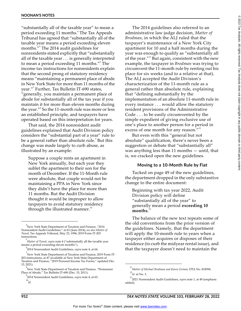"substantially all of the taxable year" to mean a period exceeding 11 months.<sup>4</sup> The Tax Appeals Tribunal has agreed that "substantially all of the taxable year means a period exceeding eleven months."<sup>5</sup> The 2014 audit guidelines for nonresidents stated explicitly that "substantially all of the taxable year . . . is generally interpreted to mean a period exceeding 11 months."<sup>6</sup> The income tax instructions for nonresidents explain that the second prong of statutory residency means "maintaining a permanent place of abode in New York State for more than 11 months of the year."<sup>7</sup> Further, Tax Bulletin IT-690 states, "generally, you maintain a permanent place of abode for substantially all of the tax year if you maintain it for more than eleven months during the year."<sup>8</sup> So the 11-month rule was more or less an established principle, and taxpayers have operated based on this interpretation for years.

That said, the 2014 nonresident audit guidelines explained that Audit Division policy considers the "substantial part of a year" rule to be a general rather than absolute rule.<sup>9</sup> But this change was made largely to curb abuse, as illustrated by an example:

Suppose a couple rents an apartment in New York annually, but each year they sublet the apartment to their son for the month of December. If the 11-Month rule were absolute, that couple would not be maintaining a PPA in New York since they didn't have the place for more than 11 months. But the Audit Division thought it would be improper to allow taxpayers to avoid statutory residency through the illustrated manner. $10$ 

The 2014 guidelines also referred to an administrative law judge decision, *Matter of Brodman*, in which the ALJ ruled that the taxpayer's maintenance of a New York City apartment for 10 and a half months during the year was enough to qualify as "substantially all of the year. $^{\prime\prime 11}$  But again, consistent with the new example, the taxpayer in *Brodman* was trying to circumvent the 11-month rule by renting out his place for six weeks (and to a relative at that). The ALJ accepted the Audit Division's characterization of the 11-month rule as a general rather than absolute rule, explaining that "defining substantially by the implementation of an absolute 11-month rule in every instance . . . would allow the statutory resident provisions of the Administrative Code . . . to be easily circumvented by the simple expedient of giving exclusive use of one's place to another person for a period in excess of one month for any reason."<sup>12</sup>

But even with this "general but not absolute" qualification, there's never been a suggestion or debate that "substantially all" was anything less than 11 months — until, that is, we cracked open the new guidelines.

#### **Moving to a 10-Month Rule by Fiat**

Tucked on page 49 of the new guidelines, the department dropped in the only substantive change to the entire document:

Beginning with tax year 2022, Audit Division policy will define "substantially all of the year" to generally mean a period **exceeding 10 months**. 13

The balance of the new text repeats some of the old conventions from the prior version of the guidelines. Namely, that the department will apply the 10-month rule to years when a taxpayer either acquires or disposes of their residence (to curb the midyear rental issue), and that the taxpayer doesn't need to maintain the

<sup>4</sup> New York State Department of Taxation and Finance, "2014 Nonresident Audit Guidelines," at 63 (June 2014); *see also Matter of Tweed*, Tax Appeals Tribunal, May 23, 1996; 2019 Form IT-203 instructions.

<sup>5</sup> *Matter of Tweed*, *supra* note 4 ("substantially all the taxable year means a period exceeding eleven months").

<sup>6</sup> 2014 Nonresident Audit Guidelines, *supra* note 4, at 64.

 $^7$ New York State Department of Taxation and Finance, 2019 Form IT-203 instructions, at 47 (available at New York State Department of Taxation and Finance, "2019 Personal Income Tax Forms," updated Dec. 13, 2021).

 $\mathrm{^{8}}$ New York State Department of Taxation and Finance, "Permanent Place of Abode," Tax Bulletin IT-690 (Dec. 15, 2011).

<sup>9</sup> 2014 Nonresident Audit Guidelines, *supra* note 4, at 63. 10 *Id.*

<sup>11</sup> *Matter of Michael Brodman and Karen Grimm*, DTA No. 818594. 12 *Id.* at No. 3.

<sup>13</sup> 2021 Nonresident Audit Guidelines, *supra* note 1, at 49 (emphasis added).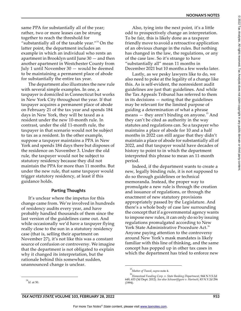same PPA for substantially all of the year; rather, two or more leases can be strung together to reach the threshold for "substantially all of the taxable year."<sup>14</sup> On the latter point, the department includes an example in which an individual who rents an apartment in Brooklyn until June 30 — and then another apartment in Westchester County from July 1 until November 30 — would be deemed to be maintaining a permanent place of abode for substantially the entire tax year.

The department also illustrates the new rule with several simple examples. In one, a taxpayer is domiciled in Connecticut but works in New York City throughout the year. If that taxpayer acquires a permanent place of abode on February 21 of the tax year and spends 184 days in New York, they will be taxed as a resident under the new 10-month rule. In contrast, under the old 11-month rule, the taxpayer in that scenario would not be subject to tax as a resident. In the other example, suppose a taxpayer maintains a PPA in New York and spends 184 days there but disposes of the residence on November 3. Under the old rule, the taxpayer would not be subject to statutory residency because they did not maintain the PPA for more than 11 months. But under the new rule, that same taxpayer would trigger statutory residency, at least if this guidance holds.

#### **Parting Thoughts**

It's unclear where the impetus for this change came from. We're involved in hundreds of residency audits every year, and have probably handled thousands of them since the last version of the guidelines came out. And while occasionally we'd have a taxpayer flying really close to the sun in a statutory residency case (that is, selling their apartment on November 27), it's not like this was a constant source of confusion or controversy. We imagine that the department is not obligated to explain why it changed its interpretation, but the rationale behind this somewhat sudden, unannounced change is unclear.

Lastly, as we pesky lawyers like to do, we also need to poke at the legality of a change like this. As is self-evident, the nonresident audit guidelines are just that: guidelines. And while the Tax Appeals Tribunal has referred to them in its decisions — noting that the guidelines may be relevant for the limited purpose of guiding a determination of what a phrase means  $-$  they aren't binding on anyone.<sup>15</sup> And they can't be cited as authority in the way statutes and regulations can. So a taxpayer who maintains a place of abode for 10 and a half months in 2022 can still argue that they didn't maintain a place of abode for substantially all of 2022, and that taxpayer would have decades of history to point to in which the department interpreted this phrase to mean an 11-month period.

Indeed, if the department wants to create a new, legally binding rule, it is not supposed to do so through guidelines or technical memoranda. Instead, the proper way to promulgate a new rule is through the creation and issuance of regulations, or through the enactment of new statutory provisions appropriately passed by the Legislature. And there's a whole body of case law surrounding the concept that if a governmental agency wants to impose new rules, it can only do so by issuing regulations promulgated according to New York State Administrative Procedure Act.<sup>16</sup> Anyone paying attention to the controversy around New York's mask mandates is likely familiar with this line of thinking, and the same concept has popped up in other tax cases in which the department has tried to enforce new

 $^{\circ}$ 

Also, tying into the next point, it's a little odd to prospectively change an interpretation. To be fair, this is likely done as a taxpayer friendly move to avoid a retroactive application of an obvious change in the rules. But nothing has changed in the law, the regulations, or any of the case law. So it's strange to have "substantially all" mean 11 months in December 2021 but 10 months a few weeks later.

<sup>15</sup> *Matter of Tweed*, *supra* note 4.

<sup>16</sup> *Homestead Funding Corp. v. State Banking Department*, 944 N.Y.S.2d 649, 653 (3d Dept. 2012). *See also Schwartfigure v. Hartnett*, 83 N.Y.2d 296 (1994).

<sup>14</sup> *Id.* at 50.